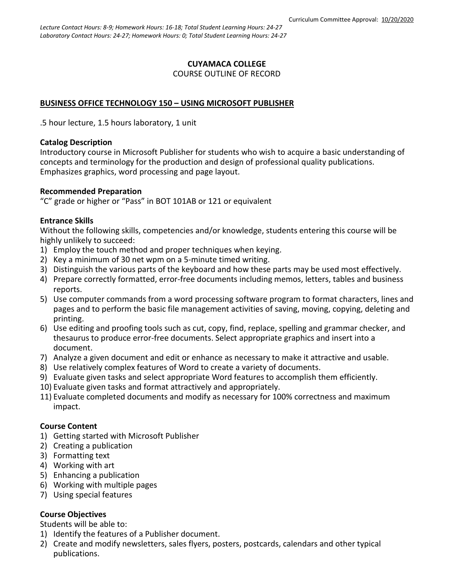#### **CUYAMACA COLLEGE** COURSE OUTLINE OF RECORD

### **BUSINESS OFFICE TECHNOLOGY 150 – USING MICROSOFT PUBLISHER**

.5 hour lecture, 1.5 hours laboratory, 1 unit

#### **Catalog Description**

Introductory course in Microsoft Publisher for students who wish to acquire a basic understanding of concepts and terminology for the production and design of professional quality publications. Emphasizes graphics, word processing and page layout.

#### **Recommended Preparation**

"C" grade or higher or "Pass" in BOT 101AB or 121 or equivalent

#### **Entrance Skills**

Without the following skills, competencies and/or knowledge, students entering this course will be highly unlikely to succeed:

- 1) Employ the touch method and proper techniques when keying.
- 2) Key a minimum of 30 net wpm on a 5-minute timed writing.
- 3) Distinguish the various parts of the keyboard and how these parts may be used most effectively.
- 4) Prepare correctly formatted, error-free documents including memos, letters, tables and business reports.
- 5) Use computer commands from a word processing software program to format characters, lines and pages and to perform the basic file management activities of saving, moving, copying, deleting and printing.
- 6) Use editing and proofing tools such as cut, copy, find, replace, spelling and grammar checker, and thesaurus to produce error-free documents. Select appropriate graphics and insert into a document.
- 7) Analyze a given document and edit or enhance as necessary to make it attractive and usable.
- 8) Use relatively complex features of Word to create a variety of documents.
- 9) Evaluate given tasks and select appropriate Word features to accomplish them efficiently.
- 10) Evaluate given tasks and format attractively and appropriately.
- 11) Evaluate completed documents and modify as necessary for 100% correctness and maximum impact.

#### **Course Content**

- 1) Getting started with Microsoft Publisher
- 2) Creating a publication
- 3) Formatting text
- 4) Working with art
- 5) Enhancing a publication
- 6) Working with multiple pages
- 7) Using special features

## **Course Objectives**

Students will be able to:

- 1) Identify the features of a Publisher document.
- 2) Create and modify newsletters, sales flyers, posters, postcards, calendars and other typical publications.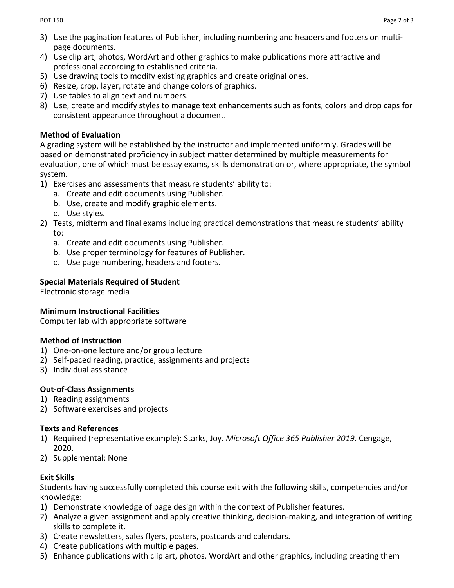- 3) Use the pagination features of Publisher, including numbering and headers and footers on multipage documents.
- 4) Use clip art, photos, WordArt and other graphics to make publications more attractive and professional according to established criteria.
- 5) Use drawing tools to modify existing graphics and create original ones.
- 6) Resize, crop, layer, rotate and change colors of graphics.
- 7) Use tables to align text and numbers.
- 8) Use, create and modify styles to manage text enhancements such as fonts, colors and drop caps for consistent appearance throughout a document.

## **Method of Evaluation**

A grading system will be established by the instructor and implemented uniformly. Grades will be based on demonstrated proficiency in subject matter determined by multiple measurements for evaluation, one of which must be essay exams, skills demonstration or, where appropriate, the symbol system.

- 1) Exercises and assessments that measure students' ability to:
	- a. Create and edit documents using Publisher.
	- b. Use, create and modify graphic elements.
	- c. Use styles.
- 2) Tests, midterm and final exams including practical demonstrations that measure students' ability to:
	- a. Create and edit documents using Publisher.
	- b. Use proper terminology for features of Publisher.
	- c. Use page numbering, headers and footers.

# **Special Materials Required of Student**

Electronic storage media

## **Minimum Instructional Facilities**

Computer lab with appropriate software

# **Method of Instruction**

- 1) One-on-one lecture and/or group lecture
- 2) Self-paced reading, practice, assignments and projects
- 3) Individual assistance

# **Out-of-Class Assignments**

- 1) Reading assignments
- 2) Software exercises and projects

# **Texts and References**

- 1) Required (representative example): Starks, Joy. *Microsoft Office 365 Publisher 2019.* Cengage, 2020.
- 2) Supplemental: None

# **Exit Skills**

Students having successfully completed this course exit with the following skills, competencies and/or knowledge:

- 1) Demonstrate knowledge of page design within the context of Publisher features.
- 2) Analyze a given assignment and apply creative thinking, decision-making, and integration of writing skills to complete it.
- 3) Create newsletters, sales flyers, posters, postcards and calendars.
- 4) Create publications with multiple pages.
- 5) Enhance publications with clip art, photos, WordArt and other graphics, including creating them